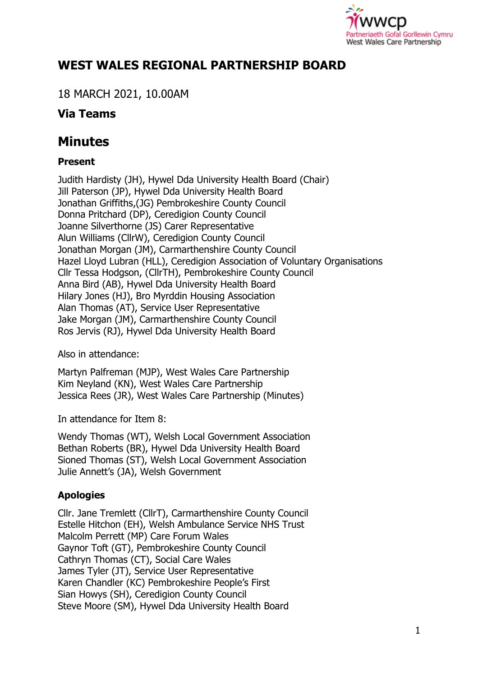

## **WEST WALES REGIONAL PARTNERSHIP BOARD**

18 MARCH 2021, 10.00AM

### **Via Teams**

# **Minutes**

#### **Present**

Judith Hardisty (JH), Hywel Dda University Health Board (Chair) Jill Paterson (JP), Hywel Dda University Health Board Jonathan Griffiths,(JG) Pembrokeshire County Council Donna Pritchard (DP), Ceredigion County Council Joanne Silverthorne (JS) Carer Representative Alun Williams (CllrW), Ceredigion County Council Jonathan Morgan (JM), Carmarthenshire County Council Hazel Lloyd Lubran (HLL), Ceredigion Association of Voluntary Organisations Cllr Tessa Hodgson, (CllrTH), Pembrokeshire County Council Anna Bird (AB), Hywel Dda University Health Board Hilary Jones (HJ), Bro Myrddin Housing Association Alan Thomas (AT), Service User Representative Jake Morgan (JM), Carmarthenshire County Council Ros Jervis (RJ), Hywel Dda University Health Board

Also in attendance:

Martyn Palfreman (MJP), West Wales Care Partnership Kim Neyland (KN), West Wales Care Partnership Jessica Rees (JR), West Wales Care Partnership (Minutes)

In attendance for Item 8:

Wendy Thomas (WT), Welsh Local Government Association Bethan Roberts (BR), Hywel Dda University Health Board Sioned Thomas (ST), Welsh Local Government Association Julie Annett's (JA), Welsh Government

### **Apologies**

Cllr. Jane Tremlett (CllrT), Carmarthenshire County Council Estelle Hitchon (EH), Welsh Ambulance Service NHS Trust Malcolm Perrett (MP) Care Forum Wales Gaynor Toft (GT), Pembrokeshire County Council Cathryn Thomas (CT), Social Care Wales James Tyler (JT), Service User Representative Karen Chandler (KC) Pembrokeshire People's First Sian Howys (SH), Ceredigion County Council Steve Moore (SM), Hywel Dda University Health Board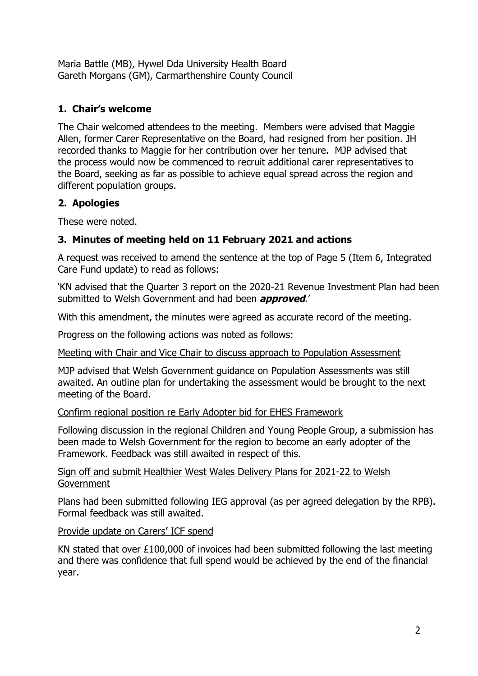Maria Battle (MB), Hywel Dda University Health Board Gareth Morgans (GM), Carmarthenshire County Council

#### **1. Chair's welcome**

The Chair welcomed attendees to the meeting. Members were advised that Maggie Allen, former Carer Representative on the Board, had resigned from her position. JH recorded thanks to Maggie for her contribution over her tenure. MJP advised that the process would now be commenced to recruit additional carer representatives to the Board, seeking as far as possible to achieve equal spread across the region and different population groups.

#### **2. Apologies**

These were noted.

### **3. Minutes of meeting held on 11 February 2021 and actions**

A request was received to amend the sentence at the top of Page 5 (Item 6, Integrated Care Fund update) to read as follows:

'KN advised that the Quarter 3 report on the 2020-21 Revenue Investment Plan had been submitted to Welsh Government and had been **approved**.'

With this amendment, the minutes were agreed as accurate record of the meeting.

Progress on the following actions was noted as follows:

Meeting with Chair and Vice Chair to discuss approach to Population Assessment

MJP advised that Welsh Government guidance on Population Assessments was still awaited. An outline plan for undertaking the assessment would be brought to the next meeting of the Board.

#### Confirm regional position re Early Adopter bid for EHES Framework

Following discussion in the regional Children and Young People Group, a submission has been made to Welsh Government for the region to become an early adopter of the Framework. Feedback was still awaited in respect of this.

#### Sign off and submit Healthier West Wales Delivery Plans for 2021-22 to Welsh Government

Plans had been submitted following IEG approval (as per agreed delegation by the RPB). Formal feedback was still awaited.

#### Provide update on Carers' ICF spend

KN stated that over  $£100,000$  of invoices had been submitted following the last meeting and there was confidence that full spend would be achieved by the end of the financial year.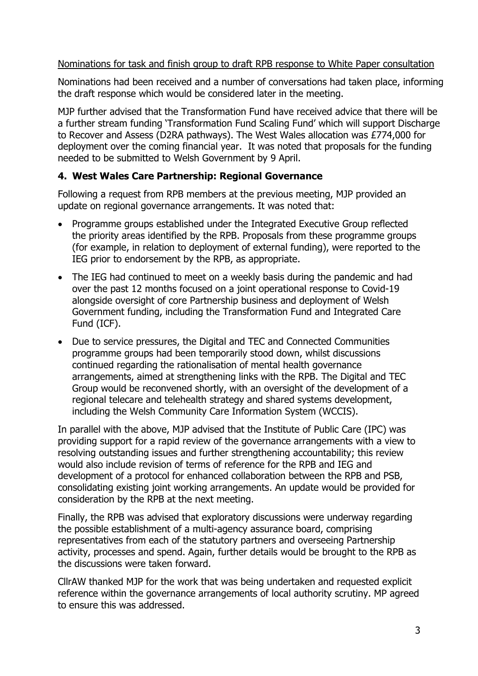#### Nominations for task and finish group to draft RPB response to White Paper consultation

Nominations had been received and a number of conversations had taken place, informing the draft response which would be considered later in the meeting.

MJP further advised that the Transformation Fund have received advice that there will be a further stream funding 'Transformation Fund Scaling Fund' which will support Discharge to Recover and Assess (D2RA pathways). The West Wales allocation was £774,000 for deployment over the coming financial year. It was noted that proposals for the funding needed to be submitted to Welsh Government by 9 April.

#### **4. West Wales Care Partnership: Regional Governance**

Following a request from RPB members at the previous meeting, MJP provided an update on regional governance arrangements. It was noted that:

- Programme groups established under the Integrated Executive Group reflected the priority areas identified by the RPB. Proposals from these programme groups (for example, in relation to deployment of external funding), were reported to the IEG prior to endorsement by the RPB, as appropriate.
- The IEG had continued to meet on a weekly basis during the pandemic and had over the past 12 months focused on a joint operational response to Covid-19 alongside oversight of core Partnership business and deployment of Welsh Government funding, including the Transformation Fund and Integrated Care Fund (ICF).
- Due to service pressures, the Digital and TEC and Connected Communities programme groups had been temporarily stood down, whilst discussions continued regarding the rationalisation of mental health governance arrangements, aimed at strengthening links with the RPB. The Digital and TEC Group would be reconvened shortly, with an oversight of the development of a regional telecare and telehealth strategy and shared systems development, including the Welsh Community Care Information System (WCCIS).

In parallel with the above, MJP advised that the Institute of Public Care (IPC) was providing support for a rapid review of the governance arrangements with a view to resolving outstanding issues and further strengthening accountability; this review would also include revision of terms of reference for the RPB and IEG and development of a protocol for enhanced collaboration between the RPB and PSB, consolidating existing joint working arrangements. An update would be provided for consideration by the RPB at the next meeting.

Finally, the RPB was advised that exploratory discussions were underway regarding the possible establishment of a multi-agency assurance board, comprising representatives from each of the statutory partners and overseeing Partnership activity, processes and spend. Again, further details would be brought to the RPB as the discussions were taken forward.

CllrAW thanked MJP for the work that was being undertaken and requested explicit reference within the governance arrangements of local authority scrutiny. MP agreed to ensure this was addressed.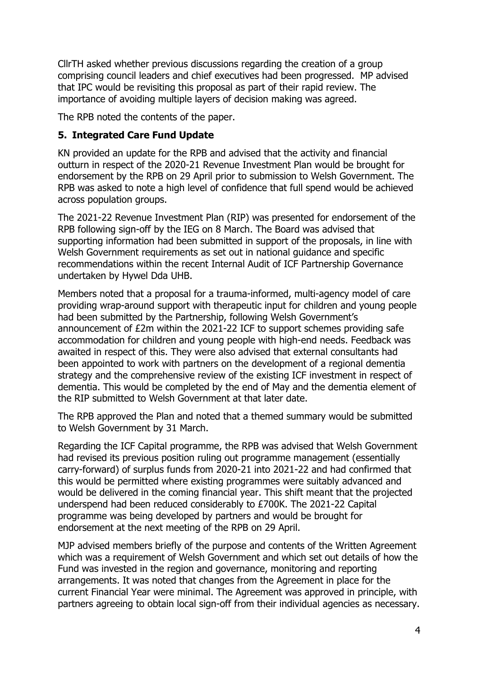CllrTH asked whether previous discussions regarding the creation of a group comprising council leaders and chief executives had been progressed. MP advised that IPC would be revisiting this proposal as part of their rapid review. The importance of avoiding multiple layers of decision making was agreed.

The RPB noted the contents of the paper.

#### **5. Integrated Care Fund Update**

KN provided an update for the RPB and advised that the activity and financial outturn in respect of the 2020-21 Revenue Investment Plan would be brought for endorsement by the RPB on 29 April prior to submission to Welsh Government. The RPB was asked to note a high level of confidence that full spend would be achieved across population groups.

The 2021-22 Revenue Investment Plan (RIP) was presented for endorsement of the RPB following sign-off by the IEG on 8 March. The Board was advised that supporting information had been submitted in support of the proposals, in line with Welsh Government requirements as set out in national guidance and specific recommendations within the recent Internal Audit of ICF Partnership Governance undertaken by Hywel Dda UHB.

Members noted that a proposal for a trauma-informed, multi-agency model of care providing wrap-around support with therapeutic input for children and young people had been submitted by the Partnership, following Welsh Government's announcement of £2m within the 2021-22 ICF to support schemes providing safe accommodation for children and young people with high-end needs. Feedback was awaited in respect of this. They were also advised that external consultants had been appointed to work with partners on the development of a regional dementia strategy and the comprehensive review of the existing ICF investment in respect of dementia. This would be completed by the end of May and the dementia element of the RIP submitted to Welsh Government at that later date.

The RPB approved the Plan and noted that a themed summary would be submitted to Welsh Government by 31 March.

Regarding the ICF Capital programme, the RPB was advised that Welsh Government had revised its previous position ruling out programme management (essentially carry-forward) of surplus funds from 2020-21 into 2021-22 and had confirmed that this would be permitted where existing programmes were suitably advanced and would be delivered in the coming financial year. This shift meant that the projected underspend had been reduced considerably to £700K. The 2021-22 Capital programme was being developed by partners and would be brought for endorsement at the next meeting of the RPB on 29 April.

MJP advised members briefly of the purpose and contents of the Written Agreement which was a requirement of Welsh Government and which set out details of how the Fund was invested in the region and governance, monitoring and reporting arrangements. It was noted that changes from the Agreement in place for the current Financial Year were minimal. The Agreement was approved in principle, with partners agreeing to obtain local sign-off from their individual agencies as necessary.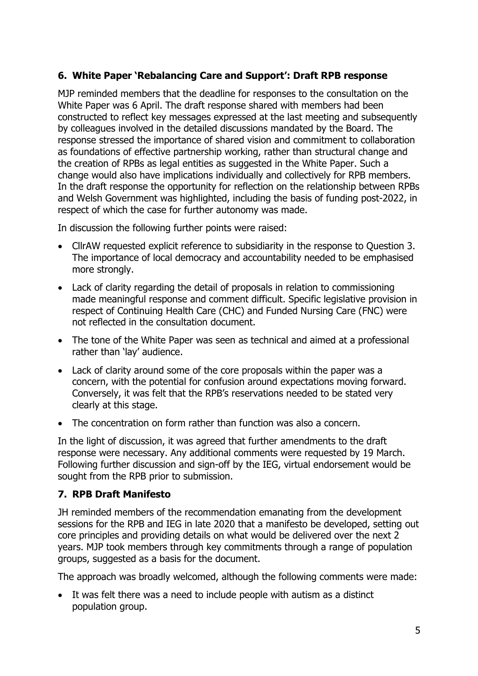#### **6. White Paper 'Rebalancing Care and Support': Draft RPB response**

MJP reminded members that the deadline for responses to the consultation on the White Paper was 6 April. The draft response shared with members had been constructed to reflect key messages expressed at the last meeting and subsequently by colleagues involved in the detailed discussions mandated by the Board. The response stressed the importance of shared vision and commitment to collaboration as foundations of effective partnership working, rather than structural change and the creation of RPBs as legal entities as suggested in the White Paper. Such a change would also have implications individually and collectively for RPB members. In the draft response the opportunity for reflection on the relationship between RPBs and Welsh Government was highlighted, including the basis of funding post-2022, in respect of which the case for further autonomy was made.

In discussion the following further points were raised:

- CllrAW requested explicit reference to subsidiarity in the response to Question 3. The importance of local democracy and accountability needed to be emphasised more strongly.
- Lack of clarity regarding the detail of proposals in relation to commissioning made meaningful response and comment difficult. Specific legislative provision in respect of Continuing Health Care (CHC) and Funded Nursing Care (FNC) were not reflected in the consultation document.
- The tone of the White Paper was seen as technical and aimed at a professional rather than 'lay' audience.
- Lack of clarity around some of the core proposals within the paper was a concern, with the potential for confusion around expectations moving forward. Conversely, it was felt that the RPB's reservations needed to be stated very clearly at this stage.
- The concentration on form rather than function was also a concern.

In the light of discussion, it was agreed that further amendments to the draft response were necessary. Any additional comments were requested by 19 March. Following further discussion and sign-off by the IEG, virtual endorsement would be sought from the RPB prior to submission.

#### **7. RPB Draft Manifesto**

JH reminded members of the recommendation emanating from the development sessions for the RPB and IEG in late 2020 that a manifesto be developed, setting out core principles and providing details on what would be delivered over the next 2 years. MJP took members through key commitments through a range of population groups, suggested as a basis for the document.

The approach was broadly welcomed, although the following comments were made:

 It was felt there was a need to include people with autism as a distinct population group.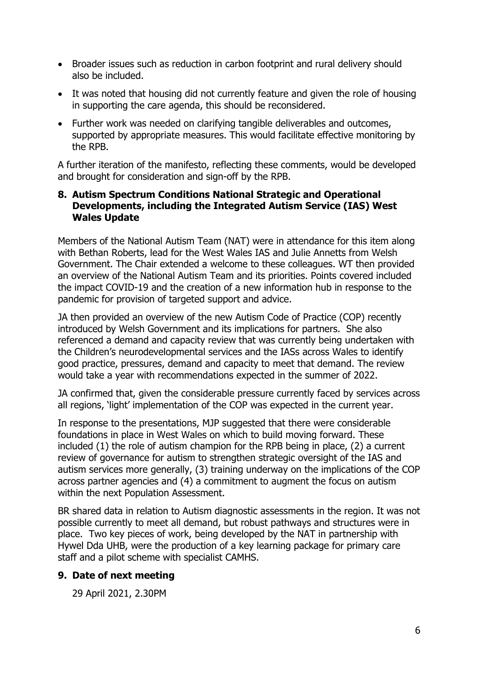- Broader issues such as reduction in carbon footprint and rural delivery should also be included.
- It was noted that housing did not currently feature and given the role of housing in supporting the care agenda, this should be reconsidered.
- Further work was needed on clarifying tangible deliverables and outcomes, supported by appropriate measures. This would facilitate effective monitoring by the RPB.

A further iteration of the manifesto, reflecting these comments, would be developed and brought for consideration and sign-off by the RPB.

#### **8. Autism Spectrum Conditions National Strategic and Operational Developments, including the Integrated Autism Service (IAS) West Wales Update**

Members of the National Autism Team (NAT) were in attendance for this item along with Bethan Roberts, lead for the West Wales IAS and Julie Annetts from Welsh Government. The Chair extended a welcome to these colleagues. WT then provided an overview of the National Autism Team and its priorities. Points covered included the impact COVID-19 and the creation of a new information hub in response to the pandemic for provision of targeted support and advice.

JA then provided an overview of the new Autism Code of Practice (COP) recently introduced by Welsh Government and its implications for partners. She also referenced a demand and capacity review that was currently being undertaken with the Children's neurodevelopmental services and the IASs across Wales to identify good practice, pressures, demand and capacity to meet that demand. The review would take a year with recommendations expected in the summer of 2022.

JA confirmed that, given the considerable pressure currently faced by services across all regions, 'light' implementation of the COP was expected in the current year.

In response to the presentations, MJP suggested that there were considerable foundations in place in West Wales on which to build moving forward. These included (1) the role of autism champion for the RPB being in place, (2) a current review of governance for autism to strengthen strategic oversight of the IAS and autism services more generally, (3) training underway on the implications of the COP across partner agencies and (4) a commitment to augment the focus on autism within the next Population Assessment.

BR shared data in relation to Autism diagnostic assessments in the region. It was not possible currently to meet all demand, but robust pathways and structures were in place. Two key pieces of work, being developed by the NAT in partnership with Hywel Dda UHB, were the production of a key learning package for primary care staff and a pilot scheme with specialist CAMHS.

#### **9. Date of next meeting**

29 April 2021, 2.30PM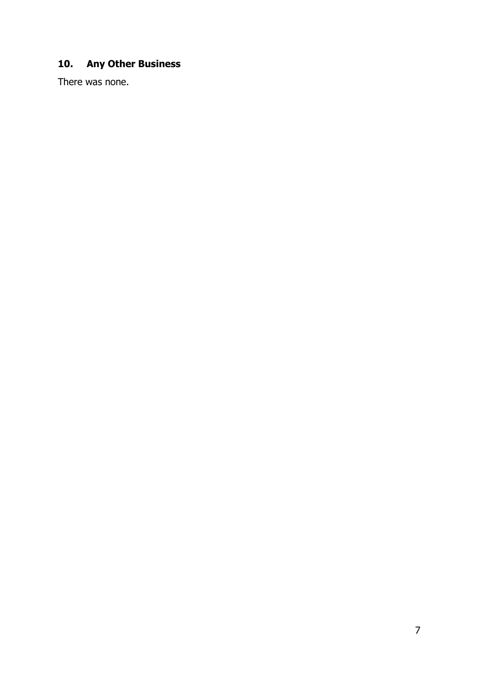## **10. Any Other Business**

There was none.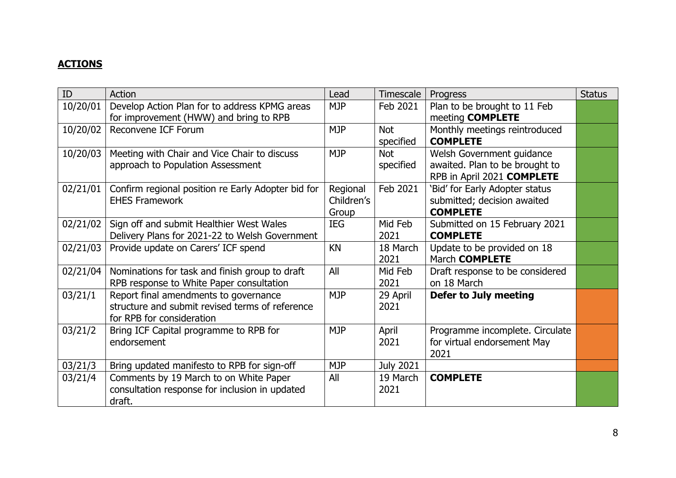## **ACTIONS**

| ID       | Action                                             | Lead       | Timescale        | Progress                        | <b>Status</b> |
|----------|----------------------------------------------------|------------|------------------|---------------------------------|---------------|
| 10/20/01 | Develop Action Plan for to address KPMG areas      | <b>MJP</b> | Feb 2021         | Plan to be brought to 11 Feb    |               |
|          | for improvement (HWW) and bring to RPB             |            |                  | meeting <b>COMPLETE</b>         |               |
| 10/20/02 | Reconvene ICF Forum                                | <b>MJP</b> | Not              | Monthly meetings reintroduced   |               |
|          |                                                    |            | specified        | <b>COMPLETE</b>                 |               |
| 10/20/03 | Meeting with Chair and Vice Chair to discuss       | <b>MJP</b> | <b>Not</b>       | Welsh Government guidance       |               |
|          | approach to Population Assessment                  |            | specified        | awaited. Plan to be brought to  |               |
|          |                                                    |            |                  | RPB in April 2021 COMPLETE      |               |
| 02/21/01 | Confirm regional position re Early Adopter bid for | Regional   | Feb 2021         | 'Bid' for Early Adopter status  |               |
|          | <b>EHES Framework</b>                              | Children's |                  | submitted; decision awaited     |               |
|          |                                                    | Group      |                  | <b>COMPLETE</b>                 |               |
| 02/21/02 | Sign off and submit Healthier West Wales           | IEG        | Mid Feb          | Submitted on 15 February 2021   |               |
|          | Delivery Plans for 2021-22 to Welsh Government     |            | 2021             | <b>COMPLETE</b>                 |               |
| 02/21/03 | Provide update on Carers' ICF spend                | <b>KN</b>  | 18 March         | Update to be provided on 18     |               |
|          |                                                    |            | 2021             | March <b>COMPLETE</b>           |               |
| 02/21/04 | Nominations for task and finish group to draft     | All        | Mid Feb          | Draft response to be considered |               |
|          | RPB response to White Paper consultation           |            | 2021             | on 18 March                     |               |
| 03/21/1  | Report final amendments to governance              | <b>MJP</b> | 29 April         | Defer to July meeting           |               |
|          | structure and submit revised terms of reference    |            | 2021             |                                 |               |
|          | for RPB for consideration                          |            |                  |                                 |               |
| 03/21/2  | Bring ICF Capital programme to RPB for             | <b>MJP</b> | April            | Programme incomplete. Circulate |               |
|          | endorsement                                        |            | 2021             | for virtual endorsement May     |               |
|          |                                                    |            |                  | 2021                            |               |
| 03/21/3  | Bring updated manifesto to RPB for sign-off        | <b>MJP</b> | <b>July 2021</b> |                                 |               |
| 03/21/4  | Comments by 19 March to on White Paper             | All        | 19 March         | <b>COMPLETE</b>                 |               |
|          | consultation response for inclusion in updated     |            | 2021             |                                 |               |
|          | draft.                                             |            |                  |                                 |               |